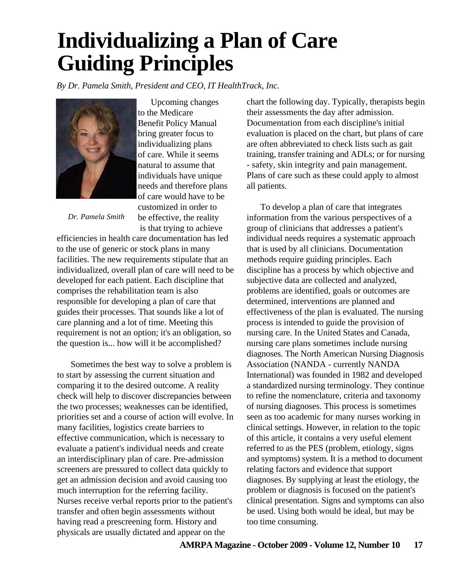## **Individualizing a Plan of Care Guiding Principles**

*By Dr. Pamela Smith, President and CEO, IT HealthTrack, Inc.*



Upcoming changes to the Medicare Benefit Policy Manual bring greater focus to individualizing plans of care. While it seems natural to assume that individuals have unique needs and therefore plans of care would have to be customized in order to be effective, the reality is that trying to achieve

*Dr. Pamela Smith*

efficiencies in health care documentation has led to the use of generic or stock plans in many facilities. The new requirements stipulate that an individualized, overall plan of care will need to be developed for each patient. Each discipline that comprises the rehabilitation team is also responsible for developing a plan of care that guides their processes. That sounds like a lot of care planning and a lot of time. Meeting this requirement is not an option; it's an obligation, so the question is... how will it be accomplished?

Sometimes the best way to solve a problem is to start by assessing the current situation and comparing it to the desired outcome. A reality check will help to discover discrepancies between the two processes; weaknesses can be identified, priorities set and a course of action will evolve. In many facilities, logistics create barriers to effective communication, which is necessary to evaluate a patient's individual needs and create an interdisciplinary plan of care. Pre-admission screeners are pressured to collect data quickly to get an admission decision and avoid causing too much interruption for the referring facility. Nurses receive verbal reports prior to the patient's transfer and often begin assessments without having read a prescreening form. History and physicals are usually dictated and appear on the

chart the following day. Typically, therapists begin their assessments the day after admission. Documentation from each discipline's initial evaluation is placed on the chart, but plans of care are often abbreviated to check lists such as gait training, transfer training and ADLs; or for nursing - safety, skin integrity and pain management. Plans of care such as these could apply to almost all patients.

To develop a plan of care that integrates information from the various perspectives of a group of clinicians that addresses a patient's individual needs requires a systematic approach that is used by all clinicians. Documentation methods require guiding principles. Each discipline has a process by which objective and subjective data are collected and analyzed, problems are identified, goals or outcomes are determined, interventions are planned and effectiveness of the plan is evaluated. The nursing process is intended to guide the provision of nursing care. In the United States and Canada, nursing care plans sometimes include nursing diagnoses. The North American Nursing Diagnosis Association (NANDA - currently NANDA International) was founded in 1982 and developed a standardized nursing terminology. They continue to refine the nomenclature, criteria and taxonomy of nursing diagnoses. This process is sometimes seen as too academic for many nurses working in clinical settings. However, in relation to the topic of this article, it contains a very useful element referred to as the PES (problem, etiology, signs and symptoms) system. It is a method to document relating factors and evidence that support diagnoses. By supplying at least the etiology, the problem or diagnosis is focused on the patient's clinical presentation. Signs and symptoms can also be used. Using both would be ideal, but may be too time consuming.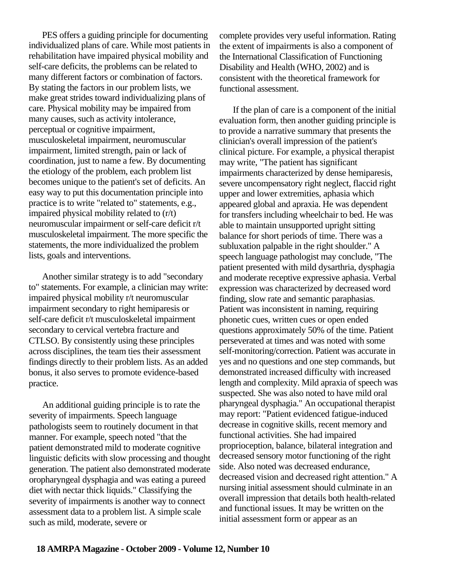PES offers a guiding principle for documenting individualized plans of care. While most patients in rehabilitation have impaired physical mobility and self-care deficits, the problems can be related to many different factors or combination of factors. By stating the factors in our problem lists, we make great strides toward individualizing plans of care. Physical mobility may be impaired from many causes, such as activity intolerance, perceptual or cognitive impairment, musculoskeletal impairment, neuromuscular impairment, limited strength, pain or lack of coordination, just to name a few. By documenting the etiology of the problem, each problem list becomes unique to the patient's set of deficits. An easy way to put this documentation principle into practice is to write "related to" statements, e.g., impaired physical mobility related to (r/t) neuromuscular impairment or self-care deficit r/t musculoskeletal impairment. The more specific the statements, the more individualized the problem lists, goals and interventions.

Another similar strategy is to add "secondary to" statements. For example, a clinician may write: impaired physical mobility r/t neuromuscular impairment secondary to right hemiparesis or self-care deficit r/t musculoskeletal impairment secondary to cervical vertebra fracture and CTLSO. By consistently using these principles across disciplines, the team ties their assessment findings directly to their problem lists. As an added bonus, it also serves to promote evidence-based practice.

An additional guiding principle is to rate the severity of impairments. Speech language pathologists seem to routinely document in that manner. For example, speech noted "that the patient demonstrated mild to moderate cognitive linguistic deficits with slow processing and thought generation. The patient also demonstrated moderate oropharyngeal dysphagia and was eating a pureed diet with nectar thick liquids." Classifying the severity of impairments is another way to connect assessment data to a problem list. A simple scale such as mild, moderate, severe or

complete provides very useful information. Rating the extent of impairments is also a component of the International Classification of Functioning Disability and Health (WHO, 2002) and is consistent with the theoretical framework for functional assessment.

If the plan of care is a component of the initial evaluation form, then another guiding principle is to provide a narrative summary that presents the clinician's overall impression of the patient's clinical picture. For example, a physical therapist may write, "The patient has significant impairments characterized by dense hemiparesis, severe uncompensatory right neglect, flaccid right upper and lower extremities, aphasia which appeared global and apraxia. He was dependent for transfers including wheelchair to bed. He was able to maintain unsupported upright sitting balance for short periods of time. There was a subluxation palpable in the right shoulder." A speech language pathologist may conclude, "The patient presented with mild dysarthria, dysphagia and moderate receptive expressive aphasia. Verbal expression was characterized by decreased word finding, slow rate and semantic paraphasias. Patient was inconsistent in naming, requiring phonetic cues, written cues or open ended questions approximately 50% of the time. Patient perseverated at times and was noted with some self-monitoring/correction. Patient was accurate in yes and no questions and one step commands, but demonstrated increased difficulty with increased length and complexity. Mild apraxia of speech was suspected. She was also noted to have mild oral pharyngeal dysphagia." An occupational therapist may report: "Patient evidenced fatigue-induced decrease in cognitive skills, recent memory and functional activities. She had impaired proprioception, balance, bilateral integration and decreased sensory motor functioning of the right side. Also noted was decreased endurance, decreased vision and decreased right attention." A nursing initial assessment should culminate in an overall impression that details both health-related and functional issues. It may be written on the initial assessment form or appear as an